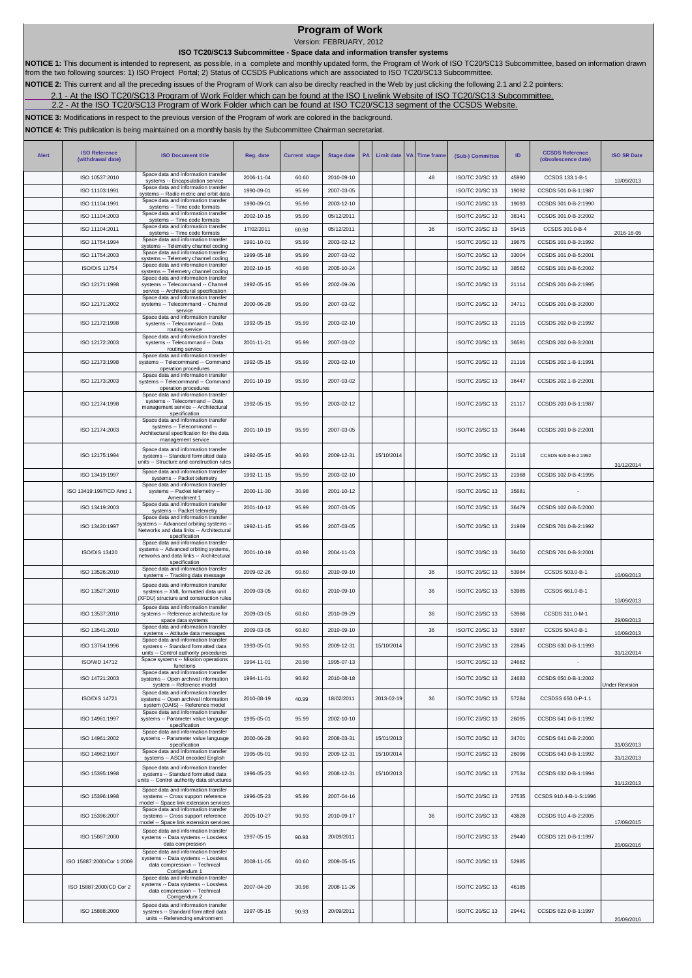## **Program of Work**

Version: FEBRUARY, 2012

 **ISO TC20/SC13 Subcommittee - Space data and information transfer systems** 

NOTICE 1: This document is intended to represent, as possible, in a complete and monthly updated form, the Program of Work of ISO TC20/SC13 Subcommittee, based on information drawn<br>from the two following sources: 1) ISO Pr

**NOTICE 2:** This current and all the preceding issues of the Program of Work can also be direclty reached in the Web by just clicking the following 2.1 and 2.2 pointers:

[2.1](http://isotc.iso.org/livelink/livelink?func=ll&objId=8791604&objAction=browse&sort=name) - At the ISO TC20/SC13 Program of Work Folder which can be found at the ISO Livelink Website of ISO TC20/SC13 Subcommittee.

[2.2](http://cwe.ccsds.org/cmc/docs/Forms/AllItems.aspx?RootFolder=%2fcmc%2fdocs%2fISO%20TC20%2dSC13%2fISO%20TC20%2dSC13%20Meeting%20Minutes%20and%20Presentations&FolderCTID=&View=%7bD5DD30F7%2d53FC%2d45B9%2d8B93%2d709B280A475B%7d) - At the ISO TC20/SC13 Program of Work Folder which can be found at ISO TC20/SC13 segment of the CCSDS Website.

**NOTICE 3:** Modifications in respect to the previous version of the Program of work are colored in the background.

**NOTICE 4:** This publication is being maintained on a monthly basis by the Subcommittee Chairman secretariat.

| Alert | <b>ISO Reference</b><br>(withdrawal date) | <b>ISO Document title</b>                                                                                                                  | Reg. date  | <b>Current stage</b> | <b>Stage date</b> | PA | Limit date | <b>VA</b> | <b>Time frame</b> | (Sub-) Committee       | ID    | <b>CCSDS Reference</b><br>(obsolescence date) | <b>ISO SR Date</b>    |
|-------|-------------------------------------------|--------------------------------------------------------------------------------------------------------------------------------------------|------------|----------------------|-------------------|----|------------|-----------|-------------------|------------------------|-------|-----------------------------------------------|-----------------------|
|       | ISO 10537:2010                            | Space data and information transfer<br>systems -- Encapsulation service                                                                    | 2006-11-04 | 60.60                | 2010-09-10        |    |            |           | 48                | ISO/TC 20/SC 13        | 45990 | CCSDS 133.1-B-1                               | 10/09/2013            |
|       | ISO 11103:1991                            | Space data and information transfer<br>systems -- Radio metric and orbit data                                                              | 1990-09-01 | 95.99                | 2007-03-05        |    |            |           |                   | ISO/TC 20/SC 13        | 19092 | CCSDS 501.0-B-1:1987                          |                       |
|       | ISO 11104:1991                            | Space data and information transfer<br>systems -- Time code formats                                                                        | 1990-09-01 | 95.99                | 2003-12-10        |    |            |           |                   | ISO/TC 20/SC 13        | 19093 | CCSDS 301.0-B-2:1990                          |                       |
|       | ISO 11104:2003                            | Space data and information transfer<br>systems -- Time code formats<br>Space data and information transfer                                 | 2002-10-15 | 95.99                | 05/12/2011        |    |            |           |                   | ISO/TC 20/SC 13        | 38141 | CCSDS 301.0-B-3:2002                          |                       |
|       | ISO 11104:2011                            | systems -- Time code formats                                                                                                               | 17/02/2011 | 60.60                | 05/12/2011        |    |            |           | 36                | ISO/TC 20/SC 13        | 59415 | CCSDS 301.0-B-4                               | 2016-16-05            |
|       | ISO 11754:1994                            | Space data and information transfer<br>systems -- Telemetry channel coding                                                                 | 1991-10-01 | 95.99                | 2003-02-12        |    |            |           |                   | ISO/TC 20/SC 13        | 19675 | CCSDS 101.0-B-3:1992                          |                       |
|       | ISO 11754:2003                            | Space data and information transfer<br>systems -- Telemetry channel coding                                                                 | 1999-05-18 | 95.99                | 2007-03-02        |    |            |           |                   | ISO/TC 20/SC 13        | 33004 | CCSDS 101.0-B-5:2001                          |                       |
|       | <b>ISO/DIS 11754</b>                      | Space data and information transfer<br>systems -- Telemetry channel coding<br>Space data and information transfer                          | 2002-10-15 | 40.98                | 2005-10-24        |    |            |           |                   | ISO/TC 20/SC 13        | 38562 | CCSDS 101.0-B-6:2002                          |                       |
|       | ISO 12171:1998                            | systems -- Telecommand -- Channel<br>service -- Architectural specification<br>Space data and information transfer                         | 1992-05-15 | 95.99                | 2002-09-26        |    |            |           |                   | ISO/TC 20/SC 13        | 21114 | CCSDS 201.0-B-2:1995                          |                       |
|       | ISO 12171:2002                            | systems -- Telecommand -- Channel<br>service<br>Space data and information transfer                                                        | 2000-06-28 | 95.99                | 2007-03-02        |    |            |           |                   | ISO/TC 20/SC 13        | 34711 | CCSDS 201.0-B-3:2000                          |                       |
|       | ISO 12172:1998                            | systems -- Telecommand -- Data<br>routing service<br>Space data and information transfer                                                   | 1992-05-15 | 95.99                | 2003-02-10        |    |            |           |                   | ISO/TC 20/SC 13        | 21115 | CCSDS 202.0-B-2:1992                          |                       |
|       | ISO 12172:2003                            | systems -- Telecommand -- Data<br>routing service<br>Space data and information transfer                                                   | 2001-11-21 | 95.99                | 2007-03-02        |    |            |           |                   | ISO/TC 20/SC 13        | 36591 | CCSDS 202.0-B-3:2001                          |                       |
|       | ISO 12173:1998                            | systems -- Telecommand -- Command<br>operation procedures<br>Space data and information transfer                                           | 1992-05-15 | 95.99                | 2003-02-10        |    |            |           |                   | ISO/TC 20/SC 13        | 21116 | CCSDS 202.1-B-1:1991                          |                       |
|       | ISO 12173:2003                            | systems -- Telecommand -- Command<br>operation procedures<br>Space data and information transfer                                           | 2001-10-19 | 95.99                | 2007-03-02        |    |            |           |                   | ISO/TC 20/SC 13        | 36447 | CCSDS 202.1-B-2:2001                          |                       |
|       | ISO 12174:1998                            | systems -- Telecommand -- Data<br>management service -- Architectural<br>specification<br>Space data and information transfer              | 1992-05-15 | 95.99                | 2003-02-12        |    |            |           |                   | ISO/TC 20/SC 13        | 21117 | CCSDS 203.0-B-1:1987                          |                       |
|       | ISO 12174:2003                            | systems -- Telecommand --<br>Architectural specification for the data<br>management service                                                | 2001-10-19 | 95.99                | 2007-03-05        |    |            |           |                   | <b>ISO/TC 20/SC 13</b> | 36446 | CCSDS 203.0-B-2:2001                          |                       |
|       | ISO 12175:1994                            | Space data and information transfer<br>systems -- Standard formatted data<br>units -- Structure and construction rules                     | 1992-05-15 | 90.93                | 2009-12-31        |    | 15/10/2014 |           |                   | ISO/TC 20/SC 13        | 21118 | CCSDS 620.0-B-2:1992                          | 31/12/2014            |
|       | ISO 13419:1997                            | Space data and information transfer<br>systems -- Packet telemetry                                                                         | 1992-11-15 | 95.99                | 2003-02-10        |    |            |           |                   | ISO/TC 20/SC 13        | 21968 | CCSDS 102.0-B-4:1995                          |                       |
|       | ISO 13419:1997/CD Amd 1                   | Space data and information transfer<br>systems -- Packet telemetry --<br>Amendment 1                                                       | 2000-11-30 | 30.98                | 2001-10-12        |    |            |           |                   | ISO/TC 20/SC 13        | 35681 |                                               |                       |
|       | ISO 13419:2003                            | Space data and information transfer<br>systems -- Packet telemetry                                                                         | 2001-10-12 | 95.99                | 2007-03-05        |    |            |           |                   | ISO/TC 20/SC 13        | 36479 | CCSDS 102.0-B-5:2000                          |                       |
|       | ISO 13420:1997                            | Space data and information transfer<br>systems -- Advanced orbiting systems -<br>Networks and data links -- Architectural<br>specification | 1992-11-15 | 95.99                | 2007-03-05        |    |            |           |                   | ISO/TC 20/SC 13        | 21969 | CCSDS 701.0-B-2:1992                          |                       |
|       | ISO/DIS 13420                             | Space data and information transfer<br>systems -- Advanced orbiting systems,<br>networks and data links -- Architectural<br>specification  | 2001-10-19 | 40.98                | 2004-11-03        |    |            |           |                   | ISO/TC 20/SC 13        | 36450 | CCSDS 701.0-B-3:2001                          |                       |
|       | ISO 13526:2010                            | Space data and information transfer<br>systems -- Tracking data message                                                                    | 2009-02-26 | 60.60                | 2010-09-10        |    |            |           | 36                | ISO/TC 20/SC 13        | 53984 | CCSDS 503.0-B-1                               | 10/09/2013            |
|       | ISO 13527:2010                            | Space data and information transfer<br>systems -- XML formatted data unit<br>(XFDU) structure and construction rules                       | 2009-03-05 | 60.60                | 2010-09-10        |    |            |           | 36                | ISO/TC 20/SC 13        | 53985 | CCSDS 661.0-B-1                               | 10/09/2013            |
|       | ISO 13537:2010                            | Space data and information transfer<br>systems -- Reference architecture for<br>space data systems                                         | 2009-03-05 | 60.60                | 2010-09-29        |    |            |           | 36                | ISO/TC 20/SC 13        | 53986 | CCSDS 311.0-M-1                               | 29/09/2013            |
|       | ISO 13541:2010                            | Space data and information transfer<br>systems -- Attitude data messages                                                                   | 2009-03-05 | 60.60                | 2010-09-10        |    |            |           | 36                | ISO/TC 20/SC 13        | 53987 | CCSDS 504.0-B-1                               | 10/09/2013            |
|       | ISO 13764:1996                            | Space data and information transfer<br>systems -- Standard formatted data<br>units -- Control authority procedures                         | 1993-05-01 | 90.93                | 2009-12-31        |    | 15/10/2014 |           |                   | <b>ISO/TC 20/SC 13</b> | 22845 | CCSDS 630.0-B-1:1993                          | 31/12/2014            |
|       | ISO/WD 14712                              | Space systems -- Mission operations<br>functions                                                                                           | 1994-11-01 | 20.98                | 1995-07-13        |    |            |           |                   | ISO/TC 20/SC 13        | 24682 | $\overline{\phantom{a}}$                      |                       |
|       | ISO 14721:2003                            | Space data and information transfer<br>systems -- Open archival information<br>system -- Reference model                                   | 1994-11-01 | 90.92                | 2010-08-18        |    |            |           |                   | ISO/TC 20/SC 13        | 24683 | CCSDS 650.0-B-1:2002                          | <b>Jnder Revision</b> |
|       | <b>ISO/DIS 14721</b>                      | Space data and information transfer<br>systems -- Open archival information<br>system (OAIS) -- Reference model                            | 2010-08-19 | 40.99                | 18/02/2011        |    | 2013-02-19 |           | 36                | ISO/TC 20/SC 13        | 57284 | CCSDSS 650.0-P-1.1                            |                       |
|       | ISO 14961:1997                            | Space data and information transfer<br>systems -- Parameter value language<br>specification                                                | 1995-05-01 | 95.99                | 2002-10-10        |    |            |           |                   | ISO/TC 20/SC 13        | 26095 | CCSDS 641.0-B-1:1992                          |                       |
|       | ISO 14961:2002                            | Space data and information transfer<br>systems -- Parameter value language<br>specification                                                | 2000-06-28 | 90.93                | 2008-03-31        |    | 15/01/2013 |           |                   | ISO/TC 20/SC 13        | 34701 | CCSDS 641.0-B-2:2000                          | 31/03/2013            |
|       | ISO 14962:1997                            | Space data and information transfer<br>systems -- ASCII encoded English                                                                    | 1995-05-01 | 90.93                | 2009-12-31        |    | 15/10/2014 |           |                   | ISO/TC 20/SC 13        | 26096 | CCSDS 643.0-B-1:1992                          | 31/12/2013            |
|       | ISO 15395:1998                            | Space data and information transfer<br>systems -- Standard formatted data<br>units -- Control authority data structures                    | 1996-05-23 | 90.93                | 2008-12-31        |    | 15/10/2013 |           |                   | ISO/TC 20/SC 13        | 27534 | CCSDS 632.0-B-1:1994                          | 31/12/2013            |
|       | ISO 15396:1998                            | Space data and information transfer<br>systems -- Cross support reference<br>model -- Space link extension services                        | 1996-05-23 | 95.99                | 2007-04-16        |    |            |           |                   | ISO/TC 20/SC 13        | 27535 | CCSDS 910.4-B-1-S:1996                        |                       |
|       | ISO 15396:2007                            | Space data and information transfer<br>systems -- Cross support reference<br>model -- Space link extension services                        | 2005-10-27 | 90.93                | 2010-09-17        |    |            |           | 36                | ISO/TC 20/SC 13        | 43828 | CCSDS 910.4-B-2:2005                          | 17/09/2015            |
|       | ISO 15887:2000                            | Space data and information transfer<br>systems -- Data systems -- Lossless<br>data compression                                             | 1997-05-15 | 90.93                | 20/09/2011        |    |            |           |                   | ISO/TC 20/SC 13        | 29440 | CCSDS 121.0-B-1:1997                          | 20/09/2016            |
|       | ISO 15887:2000/Cor 1:2009                 | Space data and information transfer<br>systems -- Data systems -- Lossless<br>data compression -- Technical<br>Corrigendum 1               | 2008-11-05 | 60.60                | 2009-05-15        |    |            |           |                   | ISO/TC 20/SC 13        | 52985 |                                               |                       |
|       | ISO 15887:2000/CD Cor 2                   | Space data and information transfer<br>systems -- Data systems -- Lossless<br>data compression -- Technical<br>Corrigendum 2               | 2007-04-20 | 30.98                | 2008-11-26        |    |            |           |                   | ISO/TC 20/SC 13        | 46185 |                                               |                       |
|       | ISO 15888:2000                            | Space data and information transfer<br>systems -- Standard formatted data<br>units -- Referencing environment                              | 1997-05-15 | 90.93                | 20/09/2011        |    |            |           |                   | ISO/TC 20/SC 13        | 29441 | CCSDS 622.0-B-1:1997                          | 20/09/2016            |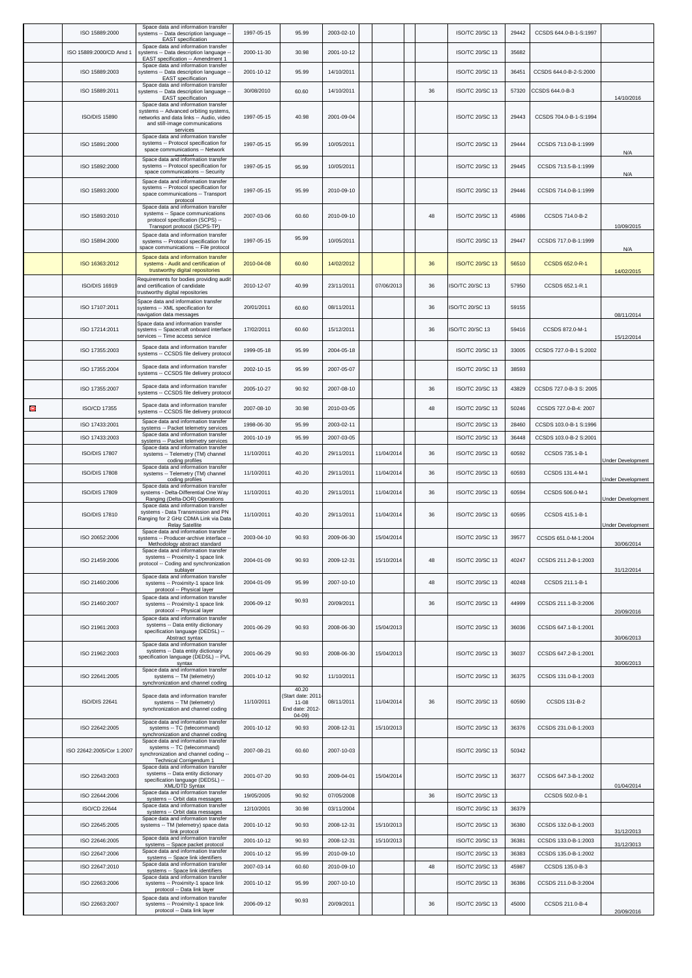|   | ISO 15889:2000            | Space data and information transfer<br>systems -- Data description language -<br><b>EAST</b> specification                                                            | 1997-05-15 | 95.99                                                                   | 2003-02-10 |            |    | ISO/TC 20/SC 13        | 29442 | CCSDS 644.0-B-1-S:1997  |                          |
|---|---------------------------|-----------------------------------------------------------------------------------------------------------------------------------------------------------------------|------------|-------------------------------------------------------------------------|------------|------------|----|------------------------|-------|-------------------------|--------------------------|
|   | ISO 15889:2000/CD Amd 1   | Space data and information transfer<br>systems -- Data description language -                                                                                         | 2000-11-30 | 30.98                                                                   | 2001-10-12 |            |    | ISO/TC 20/SC 13        | 35682 |                         |                          |
|   | ISO 15889:2003            | EAST specification -- Amendment 1<br>Space data and information transfer<br>systems -- Data description language -                                                    | 2001-10-12 | 95.99                                                                   | 14/10/2011 |            |    | ISO/TC 20/SC 13        | 36451 | CCSDS 644.0-B-2-S:2000  |                          |
|   | ISO 15889:2011            | EAST specification<br>Space data and information transfer<br>systems -- Data description language -<br>EAST specification                                             | 30/08/2010 | 60.60                                                                   | 14/10/2011 |            | 36 | ISO/TC 20/SC 13        | 57320 | CCSDS 644.0-B-3         | 14/10/2016               |
|   | <b>ISO/DIS 15890</b>      | Space data and information transfer<br>systems -- Advanced orbiting systems,<br>networks and data links -- Audio, video<br>and still-image communications<br>services | 1997-05-15 | 40.98                                                                   | 2001-09-04 |            |    | ISO/TC 20/SC 13        | 29443 | CCSDS 704.0-B-1-S:1994  |                          |
|   | ISO 15891:2000            | Space data and information transfer<br>systems -- Protocol specification for<br>space communications -- Network                                                       | 1997-05-15 | 95.99                                                                   | 10/05/2011 |            |    | ISO/TC 20/SC 13        | 29444 | CCSDS 713.0-B-1:1999    | N/A                      |
|   | ISO 15892:2000            | Space data and information transfer<br>systems -- Protocol specification for<br>space communications -- Security                                                      | 1997-05-15 | 95.99                                                                   | 10/05/2011 |            |    | ISO/TC 20/SC 13        | 29445 | CCSDS 713.5-B-1:1999    | N/A                      |
|   | ISO 15893:2000            | Space data and information transfer<br>systems -- Protocol specification for<br>space communications -- Transport<br>protocol                                         | 1997-05-15 | 95.99                                                                   | 2010-09-10 |            |    | ISO/TC 20/SC 13        | 29446 | CCSDS 714.0-B-1:1999    |                          |
|   | ISO 15893:2010            | Space data and information transfer<br>systems -- Space communications<br>protocol specification (SCPS) --<br>Transport protocol (SCPS-TP)                            | 2007-03-06 | 60.60                                                                   | 2010-09-10 |            | 48 | ISO/TC 20/SC 13        | 45986 | CCSDS 714.0-B-2         | 10/09/2015               |
|   | ISO 15894:2000            | Space data and information transfer<br>systems -- Protocol specification for<br>space communications -- File protocol                                                 | 1997-05-15 | 95.99                                                                   | 10/05/2011 |            |    | ISO/TC 20/SC 13        | 29447 | CCSDS 717.0-B-1:1999    | N/A                      |
|   | ISO 16363:2012            | Space data and information transfer<br>systems - Audit and certification of<br>trustworthy digital repositories                                                       | 2010-04-08 | 60.60                                                                   | 14/02/2012 |            | 36 | <b>ISO/TC 20/SC 13</b> | 56510 | CCSDS 652.0-R-1         | 14/02/2015               |
|   | ISO/DIS 16919             | Requirements for bodies providing audit<br>and certification of candidate<br>trustworthy digital repositories                                                         | 2010-12-07 | 40.99                                                                   | 23/11/2011 | 07/06/2013 | 36 | ISO/TC 20/SC 13        | 57950 | CCSDS 652.1-R.1         |                          |
|   | ISO 17107:2011            | Space data and information transfer<br>systems -- XML specification for<br>navigation data messages                                                                   | 20/01/2011 | 60.60                                                                   | 08/11/2011 |            | 36 | ISO/TC 20/SC 13        | 59155 |                         | 08/11/2014               |
|   | ISO 17214:2011            | Space data and information transfer<br>systems -- Spacecraft onboard interface<br>services -- Time access service                                                     | 17/02/2011 | 60.60                                                                   | 15/12/2011 |            | 36 | ISO/TC 20/SC 13        | 59416 | CCSDS 872.0-M-1         | 15/12/2014               |
|   | ISO 17355:2003            | Space data and information transfer<br>systems -- CCSDS file delivery protocol                                                                                        | 1999-05-18 | 95.99                                                                   | 2004-05-18 |            |    | ISO/TC 20/SC 13        | 33005 | CCSDS 727.0-B-1 S:2002  |                          |
|   | ISO 17355:2004            | Space data and information transfer<br>systems -- CCSDS file delivery protocol                                                                                        | 2002-10-15 | 95.99                                                                   | 2007-05-07 |            |    | ISO/TC 20/SC 13        | 38593 |                         |                          |
|   | ISO 17355:2007            | Space data and information transfer<br>systems -- CCSDS file delivery protocol                                                                                        | 2005-10-27 | 90.92                                                                   | 2007-08-10 |            | 36 | ISO/TC 20/SC 13        | 43829 | CCSDS 727.0-B-3 S: 2005 |                          |
| Θ | ISO/CD 17355              | Space data and information transfer<br>systems -- CCSDS file delivery protocol                                                                                        | 2007-08-10 | 30.98                                                                   | 2010-03-05 |            | 48 | ISO/TC 20/SC 13        | 50246 | CCSDS 727.0-B-4: 2007   |                          |
|   | ISO 17433:2001            | Space data and information transfer<br>systems -- Packet telemetry services                                                                                           | 1998-06-30 | 95.99                                                                   | 2003-02-11 |            |    | ISO/TC 20/SC 13        | 28460 | CCSDS 103.0-B-1 S:1996  |                          |
|   | ISO 17433:2003            | Space data and information transfer<br>systems -- Packet telemetry services                                                                                           | 2001-10-19 | 95.99                                                                   | 2007-03-05 |            |    | ISO/TC 20/SC 13        | 36448 | CCSDS 103.0-B-2 S:2001  |                          |
|   | <b>ISO/DIS 17807</b>      | Space data and information transfer<br>systems -- Telemetry (TM) channel<br>coding profiles                                                                           | 11/10/2011 | 40.20                                                                   | 29/11/2011 | 11/04/2014 | 36 | ISO/TC 20/SC 13        | 60592 | CCSDS 735.1-B-1         | <b>Jnder Development</b> |
|   | <b>ISO/DIS 17808</b>      | Space data and information transfer<br>systems -- Telemetry (TM) channel<br>coding profiles                                                                           | 11/10/2011 | 40.20                                                                   | 29/11/2011 | 11/04/2014 | 36 | ISO/TC 20/SC 13        | 60593 | CCSDS 131.4-M-1         | Under Development        |
|   | <b>ISO/DIS 17809</b>      | Space data and information transfer<br>systems - Delta-Differential One Way<br>Ranging (Delta-DOR) Operations                                                         | 11/10/2011 | 40.20                                                                   | 29/11/2011 | 11/04/2014 | 36 | ISO/TC 20/SC 13        | 60594 | CCSDS 506.0-M-1         | Under Development        |
|   | <b>ISO/DIS 17810</b>      | Space data and information transfer<br>systems - Data Transmission and PN<br>Ranging for 2 GHz CDMA Link via Data<br><b>Relay Satellite</b>                           | 11/10/2011 | 40.20                                                                   | 29/11/2011 | 11/04/2014 | 36 | ISO/TC 20/SC 13        | 60595 | CCSDS 415.1-B-1         | <b>Jnder Development</b> |
|   | ISO 20652:2006            | Space data and information transfer<br>systems -- Producer-archive interface --<br>Methodology abstract standard<br>Space data and information transfer               | 2003-04-10 | 90.93                                                                   | 2009-06-30 | 15/04/2014 |    | ISO/TC 20/SC 13        | 39577 | CCSDS 651.0-M-1:2004    | 30/06/2014               |
|   | ISO 21459:2006            | systems -- Proximity-1 space link<br>protocol -- Coding and synchronization<br>sublayer                                                                               | 2004-01-09 | 90.93                                                                   | 2009-12-31 | 15/10/2014 | 48 | ISO/TC 20/SC 13        | 40247 | CCSDS 211.2-B-1:2003    | 31/12/2014               |
|   | ISO 21460:2006            | Space data and information transfer<br>systems -- Proximity-1 space link<br>protocol -- Physical layer                                                                | 2004-01-09 | 95.99                                                                   | 2007-10-10 |            | 48 | ISO/TC 20/SC 13        | 40248 | CCSDS 211.1-B-1         |                          |
|   | ISO 21460:2007            | Space data and information transfer<br>systems -- Proximity-1 space link<br>protocol -- Physical layer                                                                | 2006-09-12 | 90.93                                                                   | 20/09/2011 |            | 36 | ISO/TC 20/SC 13        | 44999 | CCSDS 211.1-B-3:2006    | 20/09/2016               |
|   | ISO 21961:2003            | Space data and information transfer<br>systems -- Data entity dictionary<br>specification language (DEDSL) --<br>Abstract syntax                                      | 2001-06-29 | 90.93                                                                   | 2008-06-30 | 15/04/2013 |    | ISO/TC 20/SC 13        | 36036 | CCSDS 647.1-B-1:2001    | 30/06/2013               |
|   | ISO 21962:2003            | Space data and information transfer<br>systems -- Data entity dictionary<br>specification language (DEDSL) -- PVL<br>syntax                                           | 2001-06-29 | 90.93                                                                   | 2008-06-30 | 15/04/2013 |    | ISO/TC 20/SC 13        | 36037 | CCSDS 647.2-B-1:2001    | 30/06/2013               |
|   | ISO 22641:2005            | Space data and information transfer<br>systems -- TM (telemetry)<br>synchronization and channel coding                                                                | 2001-10-12 | 90.92                                                                   | 11/10/2011 |            |    | ISO/TC 20/SC 13        | 36375 | CCSDS 131.0-B-1:2003    |                          |
|   | ISO/DIS 22641             | Space data and information transfer<br>systems -- TM (telemetry)<br>synchronization and channel coding                                                                | 11/10/2011 | 40.20<br>(Start date: 2011<br>$11 - 08$<br>End date: 2012-<br>$04 - 09$ | 08/11/2011 | 11/04/2014 | 36 | ISO/TC 20/SC 13        | 60590 | <b>CCSDS 131-B-2</b>    |                          |
|   | ISO 22642:2005            | Space data and information transfer<br>systems -- TC (telecommand)<br>synchronization and channel coding                                                              | 2001-10-12 | 90.93                                                                   | 2008-12-31 | 15/10/2013 |    | ISO/TC 20/SC 13        | 36376 | CCSDS 231.0-B-1:2003    |                          |
|   | ISO 22642:2005/Cor 1:2007 | Space data and information transfer<br>systems -- TC (telecommand)<br>synchronization and channel coding<br>Technical Corrigendum 1                                   | 2007-08-21 | 60.60                                                                   | 2007-10-03 |            |    | ISO/TC 20/SC 13        | 50342 |                         |                          |
|   | ISO 22643:2003            | Space data and information transfer<br>systems -- Data entity dictionary<br>specification language (DEDSL) --<br>XML/DTD Syntax                                       | 2001-07-20 | 90.93                                                                   | 2009-04-01 | 15/04/2014 |    | ISO/TC 20/SC 13        | 36377 | CCSDS 647.3-B-1:2002    | 01/04/2014               |
|   | ISO 22644:2006            | Space data and information transfer<br>systems -- Orbit data messages                                                                                                 | 19/05/2005 | 90.92                                                                   | 07/05/2008 |            | 36 | ISO/TC 20/SC 13        |       | CCSDS 502.0-B-1         |                          |
|   | ISO/CD 22644              | Space data and information transfer<br>systems -- Orbit data messages<br>Space data and information transfer                                                          | 12/10/2001 | 30.98                                                                   | 03/11/2004 |            |    | ISO/TC 20/SC 13        | 36379 |                         |                          |
|   | ISO 22645:2005            | systems -- TM (telemetry) space data<br>link protocol                                                                                                                 | 2001-10-12 | 90.93                                                                   | 2008-12-31 | 15/10/2013 |    | ISO/TC 20/SC 13        | 36380 | CCSDS 132.0-B-1:2003    | 31/12/2013               |
|   | ISO 22646:2005            | Space data and information transfer<br>systems -- Space packet protocol                                                                                               | 2001-10-12 | 90.93                                                                   | 2008-12-31 | 15/10/2013 |    | ISO/TC 20/SC 13        | 36381 | CCSDS 133.0-B-1:2003    | 31/12/3013               |
|   | ISO 22647:2006            | Space data and information transfer<br>systems -- Space link identifiers                                                                                              | 2001-10-12 | 95.99                                                                   | 2010-09-10 |            |    | ISO/TC 20/SC 13        | 36383 | CCSDS 135.0-B-1:2002    |                          |
|   | ISO 22647:2010            | Space data and information transfer<br>systems -- Space link identifiers<br>Space data and information transfer                                                       | 2007-03-14 | 60.60                                                                   | 2010-09-10 |            | 48 | ISO/TC 20/SC 13        | 45987 | CCSDS 135.0-B-3         |                          |
|   | ISO 22663:2006            | systems -- Proximity-1 space link<br>protocol -- Data link layer<br>Space data and information transfer                                                               | 2001-10-12 | 95.99<br>90.93                                                          | 2007-10-10 |            |    | ISO/TC 20/SC 13        | 36386 | CCSDS 211.0-B-3:2004    |                          |
|   | ISO 22663:2007            | systems -- Proximity-1 space link<br>protocol -- Data link layer                                                                                                      | 2006-09-12 |                                                                         | 20/09/2011 |            | 36 | ISO/TC 20/SC 13        | 45000 | CCSDS 211.0-B-4         | 20/09/2016               |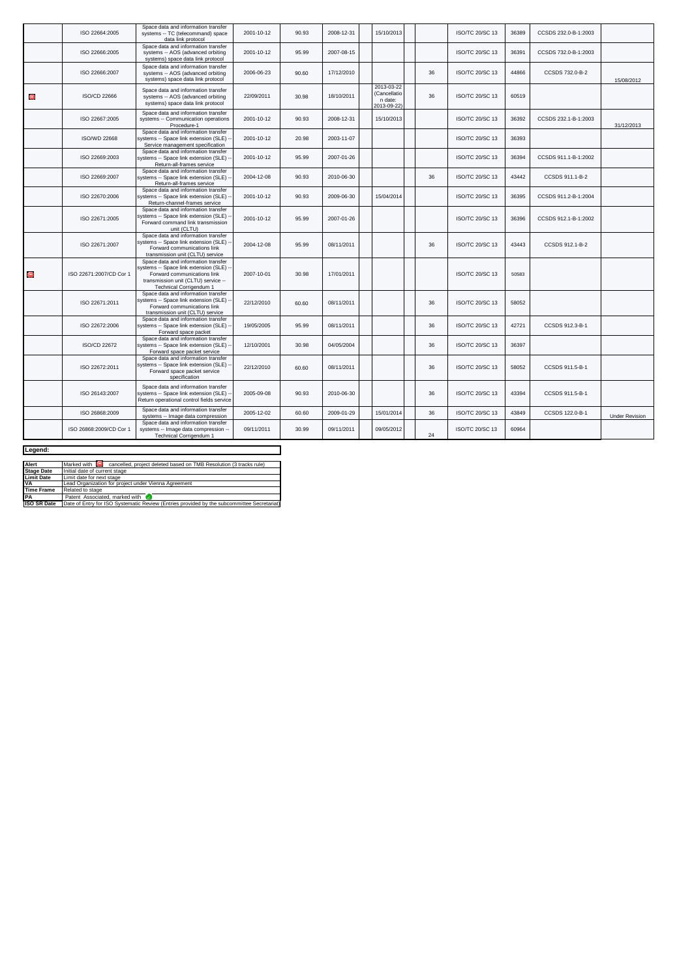|           | ISO 22664:2005          | Space data and information transfer<br>systems -- TC (telecommand) space<br>data link protocol                                                                                  | 2001-10-12 | 90.93 | 2008-12-31 | 15/10/2013                                           |    | ISO/TC 20/SC 13        | 36389 | CCSDS 232.0-B-1:2003 |                       |
|-----------|-------------------------|---------------------------------------------------------------------------------------------------------------------------------------------------------------------------------|------------|-------|------------|------------------------------------------------------|----|------------------------|-------|----------------------|-----------------------|
|           | ISO 22666:2005          | Space data and information transfer<br>systems -- AOS (advanced orbiting<br>systems) space data link protocol                                                                   | 2001-10-12 | 95.99 | 2007-08-15 |                                                      |    | ISO/TC 20/SC 13        | 36391 | CCSDS 732.0-B-1:2003 |                       |
|           | ISO 22666:2007          | Space data and information transfer<br>systems -- AOS (advanced orbiting<br>systems) space data link protocol                                                                   | 2006-06-23 | 90.60 | 17/12/2010 |                                                      | 36 | ISO/TC 20/SC 13        | 44866 | CCSDS 732.0-B-2      | 15/08/2012            |
| Θ         | ISO/CD 22666            | Space data and information transfer<br>systems -- AOS (advanced orbiting<br>systems) space data link protocol                                                                   | 22/09/2011 | 30.98 | 18/10/2011 | 2013-03-22<br>(Cancellatio<br>n date:<br>2013-09-22) | 36 | <b>ISO/TC 20/SC 13</b> | 60519 |                      |                       |
|           | ISO 22667:2005          | Space data and information transfer<br>systems -- Communication operations<br>Procedure-1                                                                                       | 2001-10-12 | 90.93 | 2008-12-31 | 15/10/2013                                           |    | ISO/TC 20/SC 13        | 36392 | CCSDS 232.1-B-1:2003 | 31/12/2013            |
|           | <b>ISO/WD 22668</b>     | Space data and information transfer<br>systems -- Space link extension (SLE) -<br>Service management specification                                                              | 2001-10-12 | 20.98 | 2003-11-07 |                                                      |    | <b>ISO/TC 20/SC 13</b> | 36393 |                      |                       |
|           | ISO 22669:2003          | Space data and information transfer<br>systems -- Space link extension (SLE) -<br>Return-all-frames service                                                                     | 2001-10-12 | 95.99 | 2007-01-26 |                                                      |    | ISO/TC 20/SC 13        | 36394 | CCSDS 911.1-B-1:2002 |                       |
|           | ISO 22669:2007          | Space data and information transfer<br>systems -- Space link extension (SLE) -<br>Return-all-frames service                                                                     | 2004-12-08 | 90.93 | 2010-06-30 |                                                      | 36 | ISO/TC 20/SC 13        | 43442 | CCSDS 911.1-B-2      |                       |
|           | ISO 22670:2006          | Space data and information transfer<br>systems -- Space link extension (SLE) -<br>Return-channel-frames service                                                                 | 2001-10-12 | 90.93 | 2009-06-30 | 15/04/2014                                           |    | ISO/TC 20/SC 13        | 36395 | CCSDS 911.2-B-1:2004 |                       |
|           | ISO 22671:2005          | Space data and information transfer<br>systems -- Space link extension (SLE)<br>Forward command link transmission<br>unit (CLTU)                                                | 2001-10-12 | 95.99 | 2007-01-26 |                                                      |    | ISO/TC 20/SC 13        | 36396 | CCSDS 912.1-B-1:2002 |                       |
|           | ISO 22671:2007          | Space data and information transfer<br>systems -- Space link extension (SLE) -<br>Forward communications link<br>transmission unit (CLTU) service                               | 2004-12-08 | 95.99 | 08/11/2011 |                                                      | 36 | <b>ISO/TC 20/SC 13</b> | 43443 | CCSDS 912.1-B-2      |                       |
| $\bullet$ | ISO 22671:2007/CD Cor 1 | Space data and information transfer<br>systems -- Space link extension (SLE) -<br>Forward communications link<br>transmission unit (CLTU) service --<br>Technical Corrigendum 1 | 2007-10-01 | 30.98 | 17/01/2011 |                                                      |    | ISO/TC 20/SC 13        | 50583 |                      |                       |
|           | ISO 22671:2011          | Space data and information transfer<br>systems -- Space link extension (SLE) -<br>Forward communications link<br>transmission unit (CLTU) service                               | 22/12/2010 | 60.60 | 08/11/2011 |                                                      | 36 | ISO/TC 20/SC 13        | 58052 |                      |                       |
|           | ISO 22672:2006          | Space data and information transfer<br>systems -- Space link extension (SLE) -<br>Forward space packet                                                                          | 19/05/2005 | 95.99 | 08/11/2011 |                                                      | 36 | ISO/TC 20/SC 13        | 42721 | CCSDS 912.3-B-1      |                       |
|           | ISO/CD 22672            | Space data and information transfer<br>systems -- Space link extension (SLE) -<br>Forward space packet service                                                                  | 12/10/2001 | 30.98 | 04/05/2004 |                                                      | 36 | ISO/TC 20/SC 13        | 36397 |                      |                       |
|           | ISO 22672:2011          | Space data and information transfer<br>systems -- Space link extension (SLE) -<br>Forward space packet service<br>specification                                                 | 22/12/2010 | 60.60 | 08/11/2011 |                                                      | 36 | <b>ISO/TC 20/SC 13</b> | 58052 | CCSDS 911.5-B-1      |                       |
|           | ISO 26143:2007          | Space data and information transfer<br>systems -- Space link extension (SLE)<br>Return operational control fields service                                                       | 2005-09-08 | 90.93 | 2010-06-30 |                                                      | 36 | <b>ISO/TC 20/SC 13</b> | 43394 | CCSDS 911.5-B-1      |                       |
|           | ISO 26868:2009          | Space data and information transfer<br>systems -- Image data compression                                                                                                        | 2005-12-02 | 60.60 | 2009-01-29 | 15/01/2014                                           | 36 | <b>ISO/TC 20/SC 13</b> | 43849 | CCSDS 122.0-B-1      | <b>Under Revision</b> |
|           | ISO 26868:2009/CD Cor 1 | Space data and information transfer<br>systems -- Image data compression --<br>Technical Corrigendum 1                                                                          | 09/11/2011 | 30.99 | 09/11/2011 | 09/05/2012                                           | 24 | <b>ISO/TC 20/SC 13</b> | 60964 |                      |                       |

| Legend:            |                                                                                            |  |  |  |  |  |  |  |
|--------------------|--------------------------------------------------------------------------------------------|--|--|--|--|--|--|--|
|                    |                                                                                            |  |  |  |  |  |  |  |
| Alert              | Marked with C cancelled, project deleted based on TMB Resolution (3 tracks rule)           |  |  |  |  |  |  |  |
| <b>Stage Date</b>  | Initial date of current stage                                                              |  |  |  |  |  |  |  |
| <b>Limit Date</b>  | Limit date for next stage                                                                  |  |  |  |  |  |  |  |
| <b>VA</b>          | Lead Organization for project under Vienna Agreement                                       |  |  |  |  |  |  |  |
| <b>Time Frame</b>  | Related to stage                                                                           |  |  |  |  |  |  |  |
| <b>PA</b>          | Patent Associated marked with                                                              |  |  |  |  |  |  |  |
| <b>ISO SR Date</b> | Date of Entry for ISO Systematic Review (Entries provided by the subcommittee Secretariat) |  |  |  |  |  |  |  |